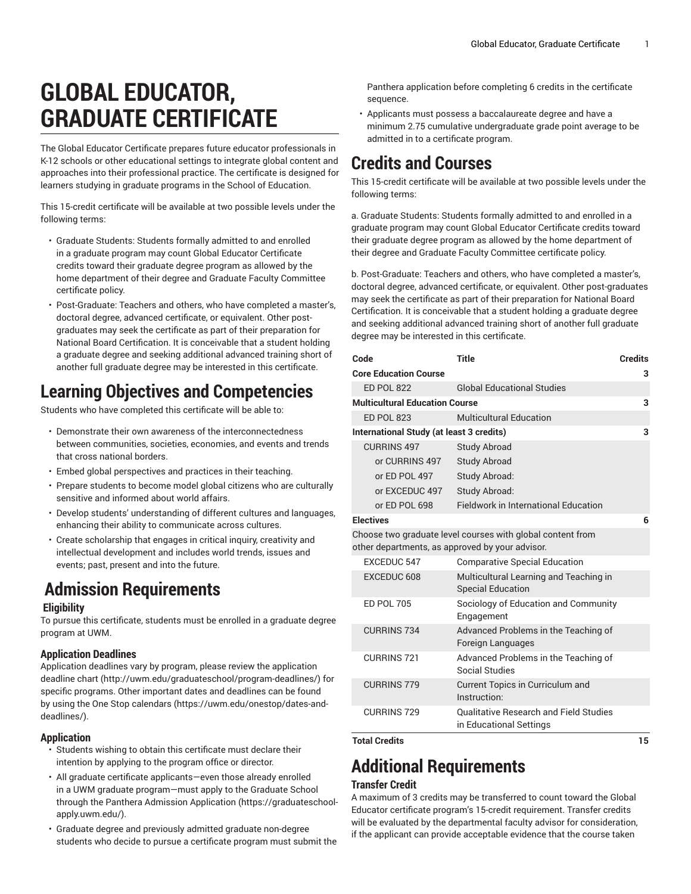# **GLOBAL EDUCATOR, GRADUATE CERTIFICATE**

The Global Educator Certificate prepares future educator professionals in K-12 schools or other educational settings to integrate global content and approaches into their professional practice. The certificate is designed for learners studying in graduate programs in the School of Education.

This 15-credit certificate will be available at two possible levels under the following terms:

- Graduate Students: Students formally admitted to and enrolled in a graduate program may count Global Educator Certificate credits toward their graduate degree program as allowed by the home department of their degree and Graduate Faculty Committee certificate policy.
- Post-Graduate: Teachers and others, who have completed a master's, doctoral degree, advanced certificate, or equivalent. Other postgraduates may seek the certificate as part of their preparation for National Board Certification. It is conceivable that a student holding a graduate degree and seeking additional advanced training short of another full graduate degree may be interested in this certificate.

### **Learning Objectives and Competencies**

Students who have completed this certificate will be able to:

- Demonstrate their own awareness of the interconnectedness between communities, societies, economies, and events and trends that cross national borders.
- Embed global perspectives and practices in their teaching.
- Prepare students to become model global citizens who are culturally sensitive and informed about world affairs.
- Develop students' understanding of different cultures and languages, enhancing their ability to communicate across cultures.
- Create scholarship that engages in critical inquiry, creativity and intellectual development and includes world trends, issues and events; past, present and into the future.

### **Admission Requirements**

#### **Eligibility**

To pursue this certificate, students must be enrolled in a graduate degree program at UWM.

### **Application Deadlines**

Application deadlines vary by program, please review the [application](http://uwm.edu/graduateschool/program-deadlines/) [deadline](http://uwm.edu/graduateschool/program-deadlines/) chart ([http://uwm.edu/graduateschool/program-deadlines/\)](http://uwm.edu/graduateschool/program-deadlines/) for specific programs. Other important dates and deadlines can be found by using the [One Stop calendars](https://uwm.edu/onestop/dates-and-deadlines/) ([https://uwm.edu/onestop/dates-and](https://uwm.edu/onestop/dates-and-deadlines/)[deadlines/\)](https://uwm.edu/onestop/dates-and-deadlines/).

### **Application**

- Students wishing to obtain this certificate must declare their intention by applying to the program office or director.
- All graduate certificate applicants—even those already enrolled in a UWM graduate program—must apply to the Graduate School through the Panthera Admission [Application](https://graduateschool-apply.uwm.edu/) ([https://graduateschool](https://graduateschool-apply.uwm.edu/)[apply.uwm.edu/](https://graduateschool-apply.uwm.edu/)).
- Graduate degree and previously admitted graduate non-degree students who decide to pursue a certificate program must submit the

Panthera application before completing 6 credits in the certificate sequence.

• Applicants must possess a baccalaureate degree and have a minimum 2.75 cumulative undergraduate grade point average to be admitted in to a certificate program.

### **Credits and Courses**

This 15-credit certificate will be available at two possible levels under the following terms:

a. Graduate Students: Students formally admitted to and enrolled in a graduate program may count Global Educator Certificate credits toward their graduate degree program as allowed by the home department of their degree and Graduate Faculty Committee certificate policy.

b. Post-Graduate: Teachers and others, who have completed a master's, doctoral degree, advanced certificate, or equivalent. Other post-graduates may seek the certificate as part of their preparation for National Board Certification. It is conceivable that a student holding a graduate degree and seeking additional advanced training short of another full graduate degree may be interested in this certificate.

| Code                                                                                                          | <b>Title</b>                                                             | <b>Credits</b> |
|---------------------------------------------------------------------------------------------------------------|--------------------------------------------------------------------------|----------------|
| <b>Core Education Course</b>                                                                                  |                                                                          | 3              |
| <b>ED POL 822</b>                                                                                             | <b>Global Educational Studies</b>                                        |                |
| <b>Multicultural Education Course</b>                                                                         |                                                                          | 3              |
| <b>ED POL 823</b>                                                                                             | <b>Multicultural Education</b>                                           |                |
| International Study (at least 3 credits)                                                                      |                                                                          | 3              |
| CURRINS 497                                                                                                   | <b>Study Abroad</b>                                                      |                |
| or CURRINS 497                                                                                                | <b>Study Abroad</b>                                                      |                |
| or ED POL 497                                                                                                 | Study Abroad:                                                            |                |
| or EXCEDUC 497                                                                                                | Study Abroad:                                                            |                |
| or ED POL 698                                                                                                 | <b>Fieldwork in International Education</b>                              |                |
| <b>Electives</b>                                                                                              |                                                                          | 6              |
| Choose two graduate level courses with global content from<br>other departments, as approved by your advisor. |                                                                          |                |
| <b>EXCEDUC 547</b>                                                                                            | <b>Comparative Special Education</b>                                     |                |
|                                                                                                               |                                                                          |                |
| EXCEDUC 608                                                                                                   | Multicultural Learning and Teaching in<br><b>Special Education</b>       |                |
| <b>ED POL 705</b>                                                                                             | Sociology of Education and Community<br>Engagement                       |                |
| <b>CURRINS 734</b>                                                                                            | Advanced Problems in the Teaching of<br>Foreign Languages                |                |
| <b>CURRINS 721</b>                                                                                            | Advanced Problems in the Teaching of<br>Social Studies                   |                |
| <b>CURRINS 779</b>                                                                                            | Current Topics in Curriculum and<br>Instruction:                         |                |
| <b>CURRINS 729</b>                                                                                            | <b>Qualitative Research and Field Studies</b><br>in Educational Settings |                |
| Total Cradite                                                                                                 |                                                                          | 15             |

## **Additional Requirements**

### **Transfer Credit**

A maximum of 3 credits may be transferred to count toward the Global Educator certificate program's 15-credit requirement. Transfer credits will be evaluated by the departmental faculty advisor for consideration, if the applicant can provide acceptable evidence that the course taken